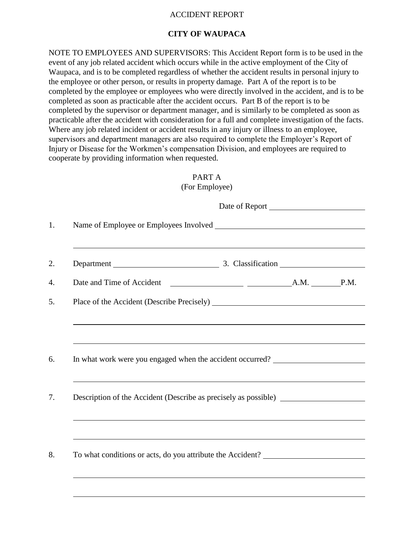## ACCIDENT REPORT

## **CITY OF WAUPACA**

NOTE TO EMPLOYEES AND SUPERVISORS: This Accident Report form is to be used in the event of any job related accident which occurs while in the active employment of the City of Waupaca, and is to be completed regardless of whether the accident results in personal injury to the employee or other person, or results in property damage. Part A of the report is to be completed by the employee or employees who were directly involved in the accident, and is to be completed as soon as practicable after the accident occurs. Part B of the report is to be completed by the supervisor or department manager, and is similarly to be completed as soon as practicable after the accident with consideration for a full and complete investigation of the facts. Where any job related incident or accident results in any injury or illness to an employee, supervisors and department managers are also required to complete the Employer's Report of Injury or Disease for the Workmen's compensation Division, and employees are required to cooperate by providing information when requested.

|  | ,我们也不会有什么。""我们的人,我们也不会有什么?""我们的人,我们也不会有什么?""我们的人,我们也不会有什么?""我们的人,我们也不会有什么?""我们的人                                                                                                                          |  |
|--|-----------------------------------------------------------------------------------------------------------------------------------------------------------------------------------------------------------|--|
|  | In what work were you engaged when the accident occurred? ______________________<br><u> 1989 - Johann Stoff, deutscher Stoffen und der Stoffen und der Stoffen und der Stoffen und der Stoffen und de</u> |  |
|  | Description of the Accident (Describe as precisely as possible) _________________<br>,我们也不会有什么。""我们的人,我们也不会有什么?""我们的人,我们也不会有什么?""我们的人,我们也不会有什么?""我们的人,我们也不会有什么?""我们的人                                     |  |
|  | ,我们也不会有什么。""我们的人,我们也不会有什么?""我们的人,我们也不会有什么?""我们的人,我们也不会有什么?""我们的人,我们也不会有什么?""我们的人                                                                                                                          |  |

PART A  $(For Fmnlovee)$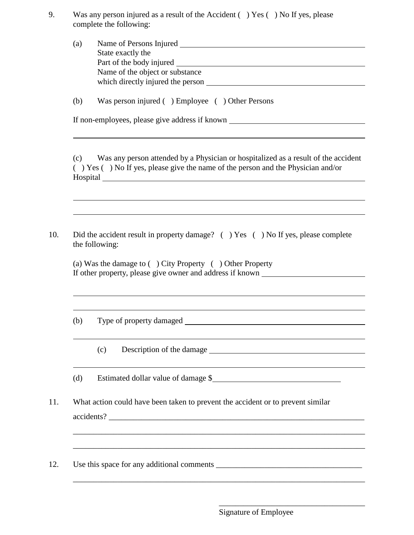9. Was any person injured as a result of the Accident ( ) Yes ( ) No If yes, please complete the following:

| $\left( a\right)$ | Name of Persons Injured           |  |
|-------------------|-----------------------------------|--|
|                   | State exactly the                 |  |
|                   | Part of the body injured          |  |
|                   | Name of the object or substance   |  |
|                   | which directly injured the person |  |

(b) Was person injured ( ) Employee ( ) Other Persons

If non-employees, please give address if known

(c) Was any person attended by a Physician or hospitalized as a result of the accident ( ) Yes ( ) No If yes, please give the name of the person and the Physician and/or Hospital

10. Did the accident result in property damage? ( ) Yes ( ) No If yes, please complete the following:

(a) Was the damage to ( ) City Property ( ) Other Property If other property, please give owner and address if known

(b) Type of property damaged

(c) Description of the damage

(d) Estimated dollar value of damage \$

\_\_\_\_\_\_\_\_\_\_\_\_\_\_\_\_\_\_\_\_\_\_\_\_\_\_\_\_\_\_\_\_\_\_\_\_\_\_\_\_\_\_\_\_\_\_\_\_\_\_\_\_\_\_\_\_\_\_\_\_\_\_\_\_\_\_\_\_\_\_\_\_

\_\_\_\_\_\_\_\_\_\_\_\_\_\_\_\_\_\_\_\_\_\_\_\_\_\_\_\_\_\_\_\_\_\_\_\_\_\_\_\_\_\_\_\_\_\_\_\_\_\_\_\_\_\_\_\_\_\_\_\_\_\_\_\_\_\_\_\_\_\_\_\_

11. What action could have been taken to prevent the accident or to prevent similar accidents?

12. Use this space for any additional comments

Signature of Employee

<u> 1989 - Johann Stoff, amerikansk politiker (\* 1908)</u>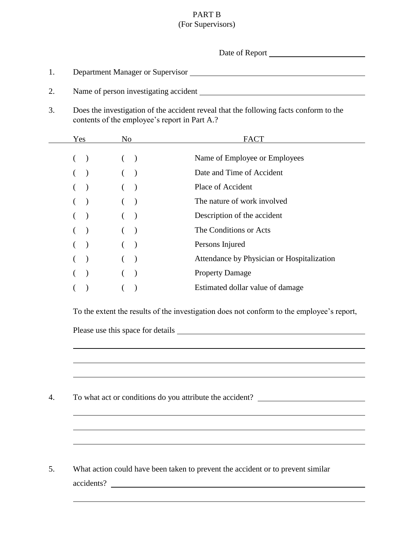## PART B (For Supervisors)

| contents of the employee's report in Part A.?<br><b>FACT</b><br>Yes<br>No results<br>Name of Employee or Employees<br>$($ )<br>(<br>$\begin{array}{cccc} \hline \end{array} \qquad \qquad ( \quad )$<br>Date and Time of Accident<br>$\left($<br>$\begin{array}{c} \hline \end{array}$<br>$($ )<br>Place of Accident<br>$($ )<br>$\overline{\phantom{a}}$<br>The nature of work involved<br>$($ $)$<br>$($ )<br>Description of the accident<br>The Conditions or Acts<br>$\begin{array}{cccc} \hline \end{array}$<br>$\left($<br>$\overline{\phantom{a}}$<br>Persons Injured<br>$($ )<br>$\overline{\phantom{a}}$<br>(<br>Attendance by Physician or Hospitalization<br>$( )$<br><b>Property Damage</b><br>$\lambda$<br>$\left($<br>$\big)$<br>Estimated dollar value of damage<br>To the extent the results of the investigation does not conform to the employee's report,<br>To what act or conditions do you attribute the accident? _______________________ |                                                                                       |  |  |  |  |
|------------------------------------------------------------------------------------------------------------------------------------------------------------------------------------------------------------------------------------------------------------------------------------------------------------------------------------------------------------------------------------------------------------------------------------------------------------------------------------------------------------------------------------------------------------------------------------------------------------------------------------------------------------------------------------------------------------------------------------------------------------------------------------------------------------------------------------------------------------------------------------------------------------------------------------------------------------------|---------------------------------------------------------------------------------------|--|--|--|--|
|                                                                                                                                                                                                                                                                                                                                                                                                                                                                                                                                                                                                                                                                                                                                                                                                                                                                                                                                                                  |                                                                                       |  |  |  |  |
|                                                                                                                                                                                                                                                                                                                                                                                                                                                                                                                                                                                                                                                                                                                                                                                                                                                                                                                                                                  | Does the investigation of the accident reveal that the following facts conform to the |  |  |  |  |
|                                                                                                                                                                                                                                                                                                                                                                                                                                                                                                                                                                                                                                                                                                                                                                                                                                                                                                                                                                  |                                                                                       |  |  |  |  |
|                                                                                                                                                                                                                                                                                                                                                                                                                                                                                                                                                                                                                                                                                                                                                                                                                                                                                                                                                                  |                                                                                       |  |  |  |  |
|                                                                                                                                                                                                                                                                                                                                                                                                                                                                                                                                                                                                                                                                                                                                                                                                                                                                                                                                                                  |                                                                                       |  |  |  |  |
|                                                                                                                                                                                                                                                                                                                                                                                                                                                                                                                                                                                                                                                                                                                                                                                                                                                                                                                                                                  |                                                                                       |  |  |  |  |
|                                                                                                                                                                                                                                                                                                                                                                                                                                                                                                                                                                                                                                                                                                                                                                                                                                                                                                                                                                  |                                                                                       |  |  |  |  |
|                                                                                                                                                                                                                                                                                                                                                                                                                                                                                                                                                                                                                                                                                                                                                                                                                                                                                                                                                                  |                                                                                       |  |  |  |  |
|                                                                                                                                                                                                                                                                                                                                                                                                                                                                                                                                                                                                                                                                                                                                                                                                                                                                                                                                                                  |                                                                                       |  |  |  |  |
|                                                                                                                                                                                                                                                                                                                                                                                                                                                                                                                                                                                                                                                                                                                                                                                                                                                                                                                                                                  |                                                                                       |  |  |  |  |
|                                                                                                                                                                                                                                                                                                                                                                                                                                                                                                                                                                                                                                                                                                                                                                                                                                                                                                                                                                  |                                                                                       |  |  |  |  |
|                                                                                                                                                                                                                                                                                                                                                                                                                                                                                                                                                                                                                                                                                                                                                                                                                                                                                                                                                                  |                                                                                       |  |  |  |  |
|                                                                                                                                                                                                                                                                                                                                                                                                                                                                                                                                                                                                                                                                                                                                                                                                                                                                                                                                                                  |                                                                                       |  |  |  |  |
|                                                                                                                                                                                                                                                                                                                                                                                                                                                                                                                                                                                                                                                                                                                                                                                                                                                                                                                                                                  |                                                                                       |  |  |  |  |
|                                                                                                                                                                                                                                                                                                                                                                                                                                                                                                                                                                                                                                                                                                                                                                                                                                                                                                                                                                  |                                                                                       |  |  |  |  |
|                                                                                                                                                                                                                                                                                                                                                                                                                                                                                                                                                                                                                                                                                                                                                                                                                                                                                                                                                                  |                                                                                       |  |  |  |  |
|                                                                                                                                                                                                                                                                                                                                                                                                                                                                                                                                                                                                                                                                                                                                                                                                                                                                                                                                                                  |                                                                                       |  |  |  |  |
|                                                                                                                                                                                                                                                                                                                                                                                                                                                                                                                                                                                                                                                                                                                                                                                                                                                                                                                                                                  |                                                                                       |  |  |  |  |
|                                                                                                                                                                                                                                                                                                                                                                                                                                                                                                                                                                                                                                                                                                                                                                                                                                                                                                                                                                  |                                                                                       |  |  |  |  |
| What action could have been taken to prevent the accident or to prevent similar                                                                                                                                                                                                                                                                                                                                                                                                                                                                                                                                                                                                                                                                                                                                                                                                                                                                                  |                                                                                       |  |  |  |  |